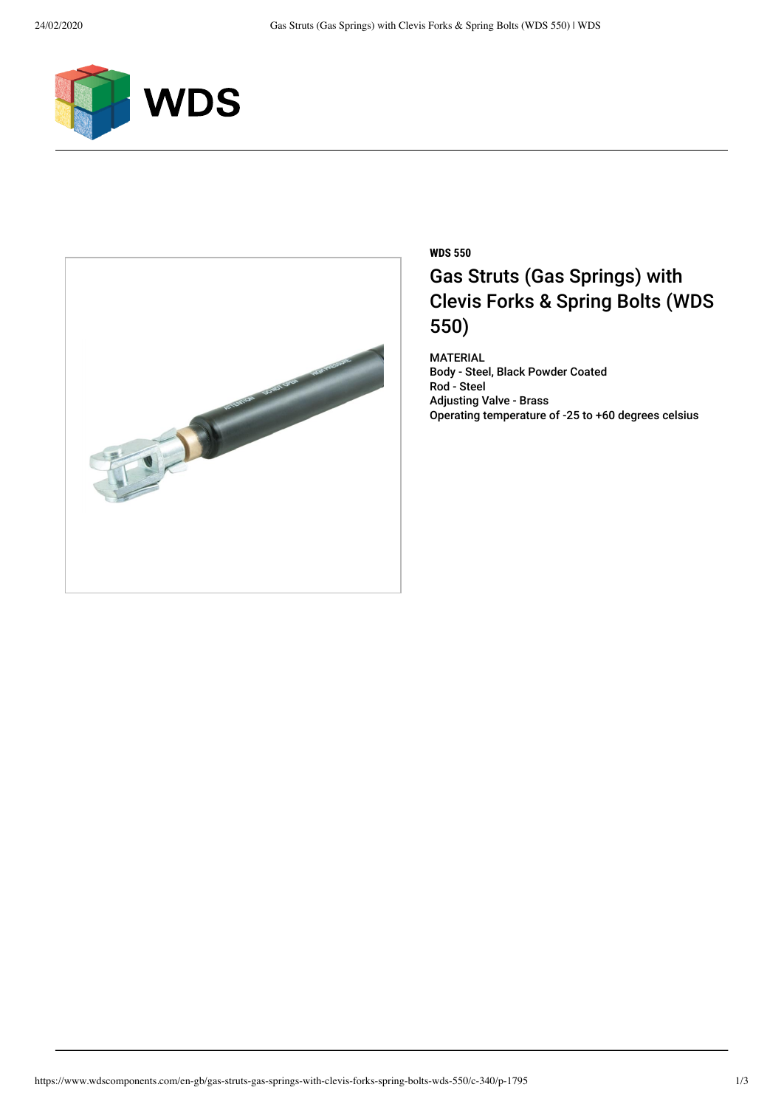



## **WDS 550** Gas Struts (Gas Springs) with Clevis Forks & Spring Bolts (WDS 550)

MATERIAL Body - Steel, Black Powder Coated Rod - Steel Adjusting Valve - Brass Operating temperature of -25 to +60 degrees celsius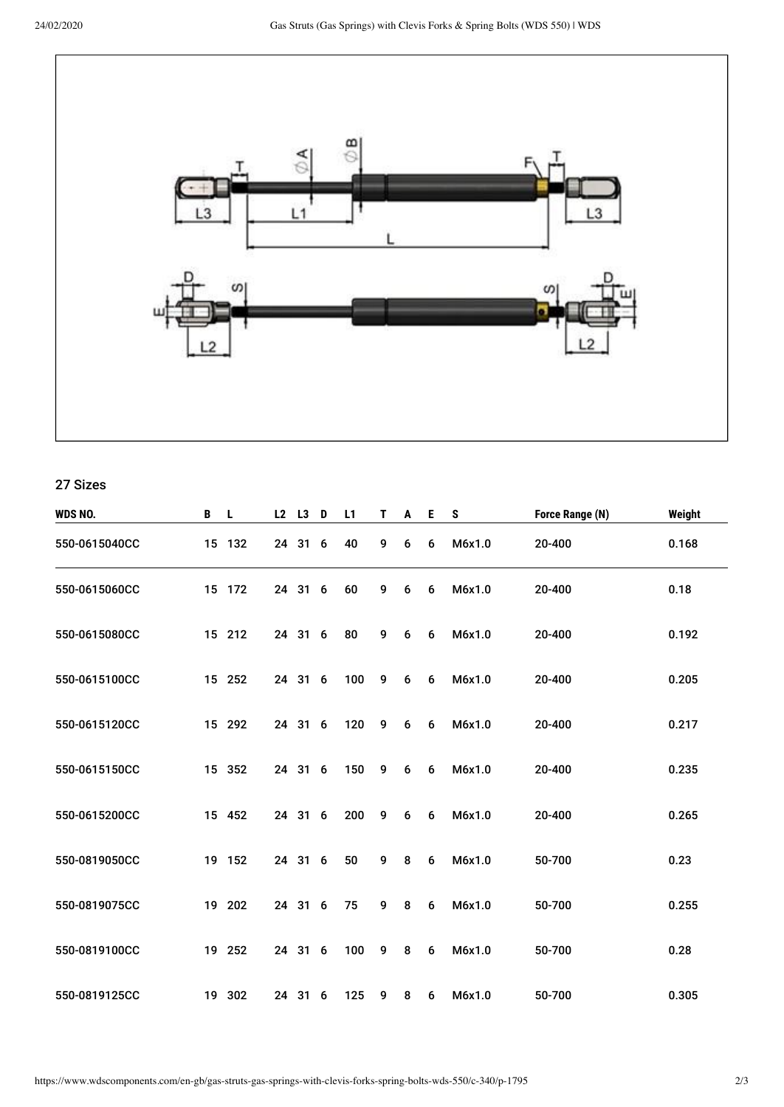

27 Sizes

| WDS NO.       | B | -L.    | L2 L3 D | L1  | T. | A | Е. | S      | Force Range (N) | Weight |
|---------------|---|--------|---------|-----|----|---|----|--------|-----------------|--------|
| 550-0615040CC |   | 15 132 | 24 31 6 | 40  | 9  | 6 | 6  | M6x1.0 | 20-400          | 0.168  |
| 550-0615060CC |   | 15 172 | 24 31 6 | 60  | 9  | 6 | 6  | M6x1.0 | 20-400          | 0.18   |
| 550-0615080CC |   | 15 212 | 24 31 6 | 80  | 9  | 6 | 6  | M6x1.0 | 20-400          | 0.192  |
| 550-0615100CC |   | 15 252 | 24 31 6 | 100 | 9  | 6 | 6  | M6x1.0 | 20-400          | 0.205  |
| 550-0615120CC |   | 15 292 | 24 31 6 | 120 | 9  | 6 | 6  | M6x1.0 | 20-400          | 0.217  |
| 550-0615150CC |   | 15 352 | 24 31 6 | 150 | 9  | 6 | 6  | M6x1.0 | 20-400          | 0.235  |
| 550-0615200CC |   | 15 452 | 24 31 6 | 200 | 9  | 6 | 6  | M6x1.0 | 20-400          | 0.265  |
| 550-0819050CC |   | 19 152 | 24 31 6 | 50  | 9  | 8 | 6  | M6x1.0 | 50-700          | 0.23   |
| 550-0819075CC |   | 19 202 | 24 31 6 | 75  | 9  | 8 | 6  | M6x1.0 | 50-700          | 0.255  |
| 550-0819100CC |   | 19 252 | 24 31 6 | 100 | 9  | 8 | 6  | M6x1.0 | 50-700          | 0.28   |
| 550-0819125CC |   | 19 302 | 24 31 6 | 125 | 9  | 8 | 6  | M6x1.0 | 50-700          | 0.305  |